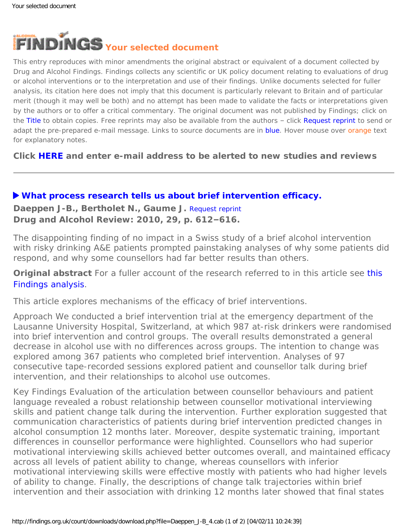

This entry reproduces with minor amendments the original abstract or equivalent of a document collected by Drug and Alcohol Findings. Findings collects any scientific or UK policy document relating to evaluations of drug or alcohol interventions or to the interpretation and use of their findings. Unlike documents selected for fuller analysis, its citation here does not imply that this document is particularly relevant to Britain and of particular merit (though it may well be both) and no attempt has been made to validate the facts or interpretations given by the authors or to offer a critical commentary. The original document was not published by Findings; click on the Title to obtain copies. Free reprints may also be available from the authors - click Request reprint to send or adapt the pre-prepared e-mail message. Links to source documents are in blue. Hover mouse over orange text for explanatory notes.

**Click [HERE](https://findings.org.uk/index.php#signUp) and enter e-mail address to be alerted to new studies and reviews**

## **[What process research tells us about brief intervention efficacy.](http://dx.doi.org/10.1111/j.1465-3362.2010.00235.x)**

**Daeppen J-B., Bertholet N., Gaume J.** [Request reprint](mailto:jean-bernard.daeppen@chuv.ch?Subject=Reprint%20request&body=Dear Dr Daeppen%0A%0AOn the Drug and Alcohol Findings web site (https://findings.org.uk) I read about your article:%0ADaeppen J-B., Bertholet N., Gaume J. What process research tells us about brief intervention efficacy. Drug and Alcohol Review: 2010, 29, p. 612-616.%0A%0AWould it be possible to for me to be sent a PDF reprint or the manuscript by return e-mail?%0A) **Drug and Alcohol Review: 2010, 29, p. 612–616.**

The disappointing finding of no impact in a Swiss study of a brief alcohol intervention with risky drinking A&E patients prompted painstaking analyses of why some patients did respond, and why some counsellors had far better results than others.

**Original abstract** For a fuller account of the research referred to in this article see [this](https://findings.org.uk/count/downloads/download.php?file=Gaume_J_3.txt) [Findings analysis.](https://findings.org.uk/count/downloads/download.php?file=Gaume_J_3.txt)

This article explores mechanisms of the efficacy of brief interventions.

*Approach* We conducted a brief intervention trial at the emergency department of the Lausanne University Hospital, Switzerland, at which 987 at-risk drinkers were randomised into brief intervention and control groups. The overall results demonstrated a general decrease in alcohol use with no differences across groups. The intention to change was explored among 367 patients who completed brief intervention. Analyses of 97 consecutive tape-recorded sessions explored patient and counsellor talk during brief intervention, and their relationships to alcohol use outcomes.

*Key Findings* Evaluation of the articulation between counsellor behaviours and patient language revealed a robust relationship between counsellor motivational interviewing skills and patient change talk during the intervention. Further exploration suggested that communication characteristics of patients during brief intervention predicted changes in alcohol consumption 12 months later. Moreover, despite systematic training, important differences in counsellor performance were highlighted. Counsellors who had superior motivational interviewing skills achieved better outcomes overall, and maintained efficacy across all levels of patient ability to change, whereas counsellors with inferior motivational interviewing skills were effective mostly with patients who had higher levels of ability to change. Finally, the descriptions of change talk trajectories within brief intervention and their association with drinking 12 months later showed that final states